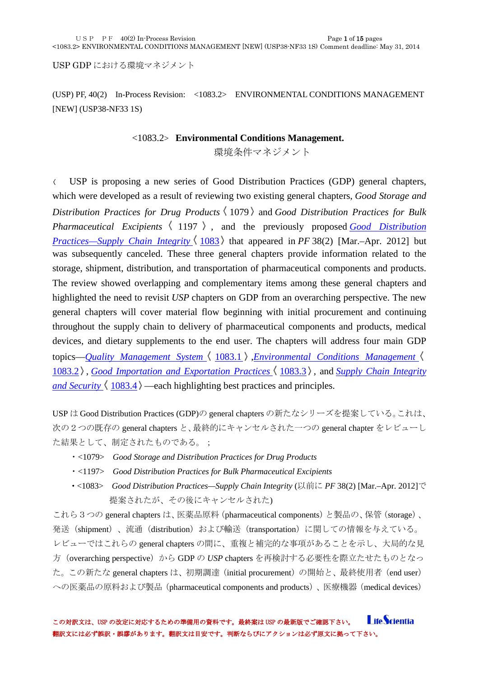USP GDP における環境マネジメント

(USP) PF, 40(2) In-Process Revision: <1083.2> ENVIRONMENTAL CONDITIONS MANAGEMENT [NEW] (USP38-NF33 1S)

#### <1083.2> **Environmental Conditions Management.**

環境条件マネジメント

USP is proposing a new series of Good Distribution Practices (GDP) general chapters,  $\langle$ which were developed as a result of reviewing two existing general chapters, *Good Storage and Distribution Practices for Drug Products* 1079 and *Good Distribution Practices for Bulk Pharmaceutical Excipients*  $\langle 1197 \rangle$ , and the previously proposed *Good Distribution [Practices—Supply Chain Integrity](http://www.usppf.com/pf/pub/data/v402/CHA_IPR_402_c1083.html#CHA_IPR_402_c1083)*  $\langle 1083 \rangle$  that appeared in *PF* 38(2) [Mar.–Apr. 2012] but was subsequently canceled. These three general chapters provide information related to the storage, shipment, distribution, and transportation of pharmaceutical components and products. The review showed overlapping and complementary items among these general chapters and highlighted the need to revisit *USP* chapters on GDP from an overarching perspective. The new general chapters will cover material flow beginning with initial procurement and continuing throughout the supply chain to delivery of pharmaceutical components and products, medical devices, and dietary supplements to the end user. The chapters will address four main GDP topics—*[Quality Management System](http://www.usppf.com/pf/pub/data/v402/CHA_IPR_402_c1083_1.html#CHA_IPR_402_c1083_1)*  $\langle 1083.1 \rangle$  *[Environmental Conditions Management](http://www.usppf.com/pf/pub/data/v402/CHA_IPR_402_c1083_2.html#CHA_IPR_402_c1083_2)* [1083.2](http://www.usppf.com/pf/pub/data/v402/CHA_IPR_402_c1083_2.html#CHA_IPR_402_c1083_2)), *[Good Importation and Exportation Practices](http://www.usppf.com/pf/pub/data/v402/CHA_IPR_402_c1083_3.html#CHA_IPR_402_c1083_3)*  $\langle 1083.3 \rangle$ , and *Supply Chain Integrity [and Security](http://www.usppf.com/pf/pub/data/v402/CHA_IPR_402_c1083_4.html#CHA_IPR_402_c1083_4)*  $\langle 1083.4 \rangle$  —each highlighting best practices and principles.

USP は Good Distribution Practices (GDP)の general chapters の新たなシリーズを提案している。これは、 次の2つの既存の general chapters と、最終的にキャンセルされた一つの general chapter をレビューし た結果として、制定されたものである。;

- ・<1079> *Good Storage and Distribution Practices for Drug Products*
- ・<1197> *Good Distribution Practices for Bulk Pharmaceutical Excipients*
- ・<1083> *Good Distribution Practices—Supply Chain Integrity* (以前に *PF* 38(2) [Mar.–Apr. 2012]で 提案されたが、その後にキャンセルされた)

これら3つの general chapters は、医薬品原料(pharmaceutical components)と製品の、保管(storage)、 発送 (shipment)、流通 (distribution) および輸送 (transportation) に関しての情報を与えている。 レビューではこれらの general chapters の間に、重複と補完的な事項があることを示し、大局的な見 方(overarching perspective)から GDP の *USP* chapters を再検討する必要性を際立たせたものとなっ た。この新たな general chapters は、初期調達(initial procurement)の開始と、最終使用者(end user) への医薬品の原料および製品(pharmaceutical components and products)、医療機器(medical devices)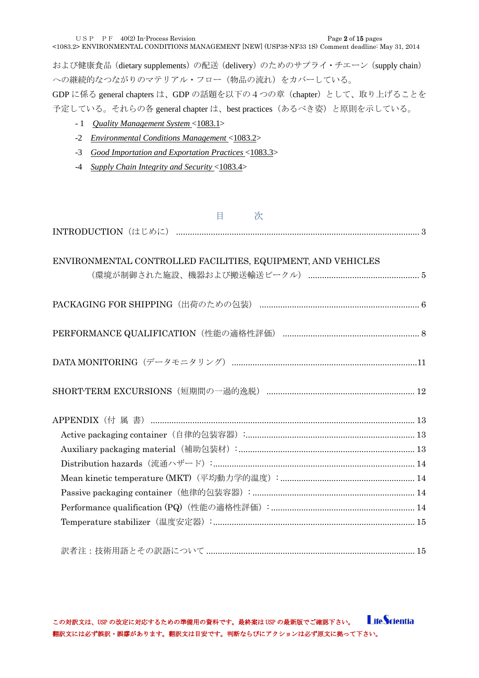USP PF  $40(2)$  In-Process Revision Page 2 of 15 pages

<1083.2> ENVIRONMENTAL CONDITIONS MANAGEMENT [NEW] (USP38-NF33 1S) Comment deadline: May 31, 2014

および健康食品 (dietary supplements) の配送 (delivery) のためのサプライ・チエーン (supply chain) への継続的なつながりのマテリアル・フロー(物品の流れ)をカバーしている。

GDP に係る general chapters は、GDP の話題を以下の4つの章(chapter)として、取り上げることを 予定している。それらの各 general chapter は、best practices(あるべき姿)と原則を示している。

- 1 *[Quality Management System](http://www.usppf.com/pf/pub/data/v402/CHA_IPR_402_c1083_1.html#CHA_IPR_402_c1083_1)* <1083.1>
- -2 *[Environmental Conditions Management](http://www.usppf.com/pf/pub/data/v402/CHA_IPR_402_c1083_2.html#CHA_IPR_402_c1083_2)* <1083.2>
- -3 *[Good Importation and Exportation Practices](http://www.usppf.com/pf/pub/data/v402/CHA_IPR_402_c1083_3.html#CHA_IPR_402_c1083_3)* <1083.3>
- -4 *[Supply Chain Integrity and Security](http://www.usppf.com/pf/pub/data/v402/CHA_IPR_402_c1083_4.html#CHA_IPR_402_c1083_4)* <1083.4>

| 目<br>次                                                       |
|--------------------------------------------------------------|
|                                                              |
|                                                              |
| ENVIRONMENTAL CONTROLLED FACILITIES, EQUIPMENT, AND VEHICLES |
|                                                              |
|                                                              |
|                                                              |
|                                                              |
|                                                              |
|                                                              |
|                                                              |
|                                                              |
|                                                              |
|                                                              |
|                                                              |
|                                                              |
|                                                              |
|                                                              |
|                                                              |
|                                                              |
|                                                              |
|                                                              |
|                                                              |

**LifeScientia** この対訳文は、USP の改定に対応するための準備用の資料です。最終案は USP の最新版でご確認下さい。 翻訳文には必ず誤訳・誤謬があります。翻訳文は目安です。判断ならびにアクションは必ず原文に拠って下さい。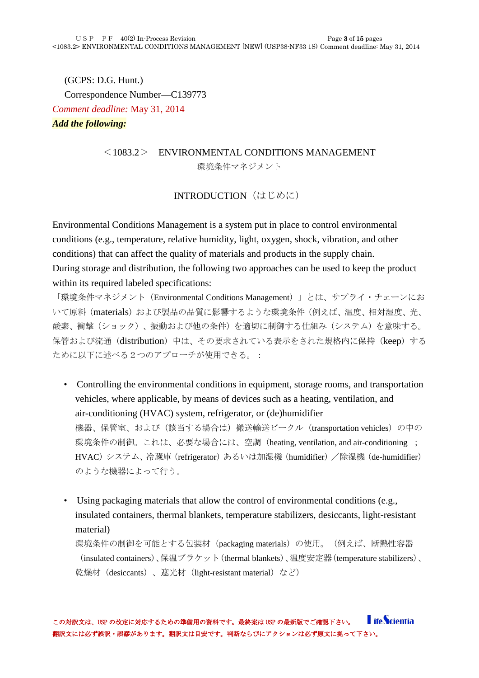(GCPS: D.G. Hunt.) Correspondence Number—C139773 *Comment deadline:* May 31, 2014 *Add the following:*

# $\langle 1083.2 \rangle$  ENVIRONMENTAL CONDITIONS MANAGEMENT

環境条件マネジメント

### INTRODUCTION (はじめに)

<span id="page-2-0"></span>Environmental Conditions Management is a system put in place to control environmental conditions (e.g., temperature, relative humidity, light, oxygen, shock, vibration, and other conditions) that can affect the quality of materials and products in the supply chain. During storage and distribution, the following two approaches can be used to keep the product within its required labeled specifications:

「環境条件マネジメント (Environmental Conditions Management)」とは、サプライ・チェーンにお いて原料(materials)および製品の品質に影響するような環境条件(例えば、温度、相対湿度、光、 酸素、衝撃(ショック)、振動および他の条件)を適切に制御する仕組み(システム)を意味する。 保管および流通 (distribution) 中は、その要求されている表示をされた規格内に保持 (keep) する ために以下に述べる2つのアプローチが使用できる。:

- Controlling the environmental conditions in equipment, storage rooms, and transportation vehicles, where applicable, by means of devices such as a heating, ventilation, and air-conditioning (HVAC) system, refrigerator, or (de)humidifier 機器、保管室、および(該当する場合は)搬送輸送ビークル (transportation vehicles) の中の 環境条件の制御。これは、必要な場合には、空調(heating, ventilation, and air-conditioning ; HVAC) システム、冷蔵庫 (refrigerator) あるいは加湿機 (humidifier) /除湿機 (de-humidifier) のような機器によって行う。
- Using packaging materials that allow the control of environmental conditions (e.g., insulated containers, thermal blankets, temperature stabilizers, desiccants, light-resistant material)

環境条件の制御を可能とする包装材(packaging materials)の使用。(例えば、断熱性容器 (insulated containers)、保温ブラケット(thermal blankets)、温度安定器(temperature stabilizers)、 乾燥材 (desiccants)、遮光材 (light-resistant material) など)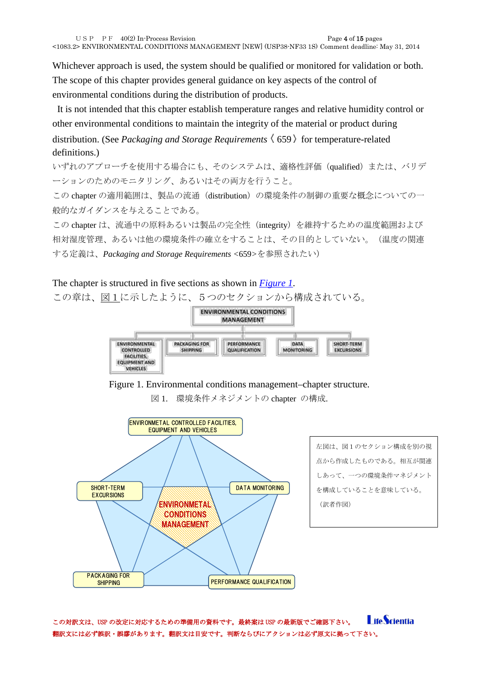Whichever approach is used, the system should be qualified or monitored for validation or both. The scope of this chapter provides general guidance on key aspects of the control of environmental conditions during the distribution of products.

It is not intended that this chapter establish temperature ranges and relative humidity control or other environmental conditions to maintain the integrity of the material or product during distribution. (See *Packaging and Storage Requirements*  $(659)$  for temperature-related definitions.)

いずれのアプローチを使用する場合にも、そのシステムは、適格性評価(qualified)または、バリデ ーションのためのモニタリング、あるいはその両方を行うこと。

この chapter の適用範囲は、製品の流通 (distribution) の環境条件の制御の重要な概念についての一 般的なガイダンスを与えることである。

この chapter は、流通中の原料あるいは製品の完全性 (integrity) を維持するための温度範囲および 相対湿度管理、あるいは他の環境条件の確立をすることは、その目的としていない。(温度の関連 する定義は、*Packaging and Storage Requirements <*659*>*を参照されたい)

#### The chapter is structured in five sections as shown in *[Figure 1](http://www.usppf.com/pf/pub/data/v402/CHA_IPR_402_c1083_2.html#CHA_IPR_402_c1083_2fig1)*.

この章は[、図1に](http://www.usppf.com/pf/pub/data/v402/CHA_IPR_402_c1083_2.html#CHA_IPR_402_c1083_2fig1)示したように、5つのセクションから構成されている。



Figure 1. Environmental conditions management–chapter structure.

図 1. 環境条件メネジメントの chapter の構成.



左図は、図1のセクション構成を別の視 点から作成したものである。相互が関連 しあって、一つの環境条件マネジメント を構成していることを意味している。 (訳者作図)

**LifeScientia** この対訳文は、USP の改定に対応するための準備用の資料です。最終案は USP の最新版でご確認下さい。 翻訳文には必ず誤訳・誤謬があります。翻訳文は目安です。判断ならびにアクションは必ず原文に拠って下さい。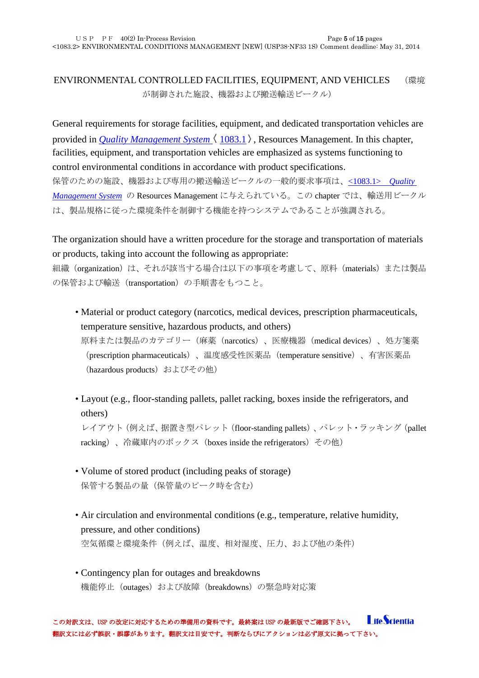# <span id="page-4-0"></span>ENVIRONMENTAL CONTROLLED FACILITIES, EQUIPMENT, AND VEHICLES (環境 が制御された施設、機器および搬送輸送ビークル)

General requirements for storage facilities, equipment, and dedicated transportation vehicles are provided in *[Quality Management System](http://www.usppf.com/pf/pub/data/v402/CHA_IPR_402_c1083_1.html#CHA_IPR_402_c1083_1)*  $\langle 1083.1 \rangle$ . Resources Management. In this chapter, facilities, equipment, and transportation vehicles are emphasized as systems functioning to control environmental conditions in accordance with product specifications. 保管のための施設、機器および専用の搬送輸送ビークルの一般的要求事項は、[<1083.1>](http://www.usppf.com/pf/pub/data/v402/CHA_IPR_402_c1083_1.html#CHA_IPR_402_c1083_1) *Quality [Management System](http://www.usppf.com/pf/pub/data/v402/CHA_IPR_402_c1083_1.html#CHA_IPR_402_c1083_1)* の Resources Management に与えられている。この chapter では、輸送用ビークル は、製品規格に従った環境条件を制御する機能を持つシステムであることが強調される。

The organization should have a written procedure for the storage and transportation of materials or products, taking into account the following as appropriate:

組織 (organization) は、それが該当する場合は以下の事項を考慮して、原料 (materials) または製品 の保管および輸送(transportation)の手順書をもつこと。

- Material or product category (narcotics, medical devices, prescription pharmaceuticals, temperature sensitive, hazardous products, and others) 原料または製品のカテゴリー(麻薬(narcotics)、医療機器(medical devices)、処方箋薬 (prescription pharmaceuticals)、温度感受性医薬品(temperature sensitive)、有害医薬品 (hazardous products) およびその他)
- Layout (e.g., floor-standing pallets, pallet racking, boxes inside the refrigerators, and others)

レイアウト(例えば、据置き型パレット(floor-standing pallets)、パレット・ラッキング(pallet racking)、冷蔵庫内のボックス (boxes inside the refrigerators) その他)

- Volume of stored product (including peaks of storage) 保管する製品の量(保管量のピーク時を含む)
- Air circulation and environmental conditions (e.g., temperature, relative humidity, pressure, and other conditions) 空気循環と環境条件(例えば、温度、相対湿度、圧力、および他の条件)
- Contingency plan for outages and breakdowns 機能停止(outages)および故障(breakdowns)の緊急時対応策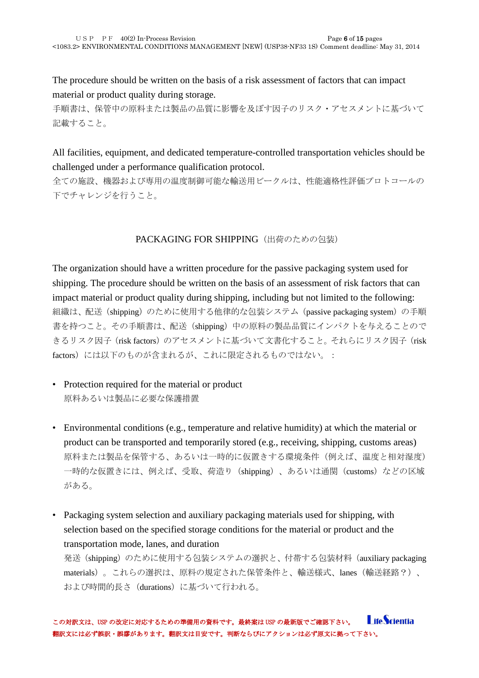The procedure should be written on the basis of a risk assessment of factors that can impact material or product quality during storage.

手順書は、保管中の原料または製品の品質に影響を及ぼす因子のリスク・アセスメントに基づいて 記載すること。

All facilities, equipment, and dedicated temperature-controlled transportation vehicles should be challenged under a performance qualification protocol.

全ての施設、機器および専用の温度制御可能な輸送用ビークルは、性能適格性評価プロトコールの 下でチャレンジを行うこと。

#### PACKAGING FOR SHIPPING (出荷のための包装)

<span id="page-5-0"></span>The organization should have a written procedure for the passive packaging system used for shipping. The procedure should be written on the basis of an assessment of risk factors that can impact material or product quality during shipping, including but not limited to the following: 組織は、配送(shipping)のために使用する他律的な包装システム (passive packaging system)の手順 書を持つこと。その手順書は、配送(shipping)中の原料の製品品質にインパクトを与えることので きるリスク因子(risk factors)のアセスメントに基づいて文書化すること。それらにリスク因子(risk factors)には以下のものが含まれるが、これに限定されるものではない。:

- Protection required for the material or product 原料あるいは製品に必要な保護措置
- Environmental conditions (e.g., temperature and relative humidity) at which the material or product can be transported and temporarily stored (e.g., receiving, shipping, customs areas) 原料または製品を保管する、あるいは一時的に仮置きする環境条件(例えば、温度と相対湿度) 一時的な仮置きには、例えば、受取、荷造り(shipping)、あるいは通関(customs)などの区域 がある。
- Packaging system selection and auxiliary packaging materials used for shipping, with selection based on the specified storage conditions for the material or product and the transportation mode, lanes, and duration

発送(shipping)のために使用する包装システムの選択と、付帯する包装材料(auxiliary packaging materials)。これらの選択は、原料の規定された保管条件と、輸送様式、lanes(輸送経路?)、 および時間的長さ(durations)に基づいて行われる。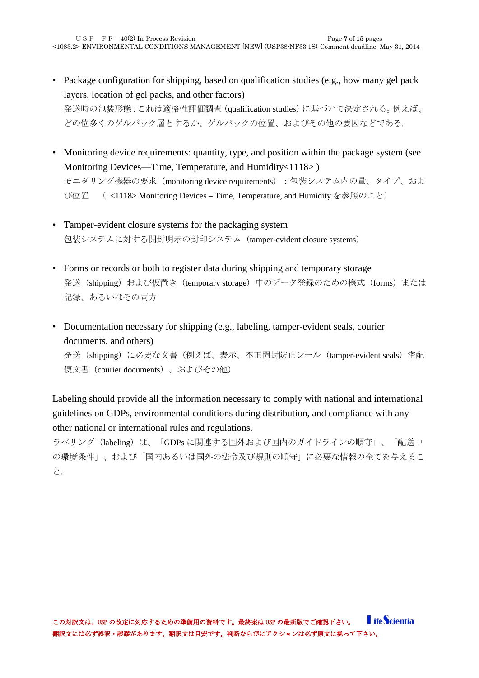- Package configuration for shipping, based on qualification studies (e.g., how many gel pack layers, location of gel packs, and other factors) 発送時の包装形態:これは適格性評価調査(qualification studies)に基づいて決定される。例えば、 どの位多くのゲルパック層とするか、ゲルバックの位置、およびその他の要因などである。
- Monitoring device requirements: quantity, type, and position within the package system (see Monitoring Devices—Time, Temperature, and Humidity<1118>) モニタリング機器の要求 (monitoring device requirements): 包装システム内の量、タイプ、およ び位置 ( <1118> Monitoring Devices – Time, Temperature, and Humidity を参照のこと)
- Tamper-evident closure systems for the packaging system 包装システムに対する開封明示の封印システム(tamper-evident closure systems)
- Forms or records or both to register data during shipping and temporary storage 発送 (shipping) および仮置き (temporary storage) 中のデータ登録のための様式 (forms) または 記録、あるいはその両方
- Documentation necessary for shipping (e.g., labeling, tamper-evident seals, courier documents, and others) 発送 (shipping) に必要な文書(例えば、表示、不正開封防止シール (tamper-evident seals) 宅配 便文書(courier documents)、およびその他)

Labeling should provide all the information necessary to comply with national and international guidelines on GDPs, environmental conditions during distribution, and compliance with any other national or international rules and regulations.

ラベリング(labeling)は、「GDPs に関連する国外および国内のガイドラインの順守」、「配送中 の環境条件」、および「国内あるいは国外の法令及び規則の順守」に必要な情報の全てを与えるこ と。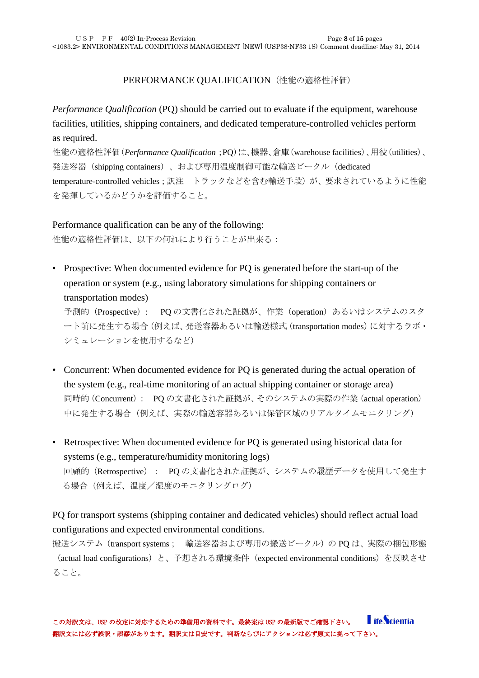#### PERFORMANCE QUALIFICATION (性能の適格性評価)

<span id="page-7-0"></span>*Performance Qualification* (PQ) should be carried out to evaluate if the equipment, warehouse facilities, utilities, shipping containers, and dedicated temperature-controlled vehicles perform as required.

性能の適格性評価(*Performance Qualification*;PQ)は、機器、倉庫(warehouse facilities)、用役(utilities)、 発送容器 (shipping containers)、および専用温度制御可能な輸送ビークル (dedicated temperature-controlled vehicles;訳注 トラックなどを含む輸送手段)が、要求されているように性能 を発揮しているかどうかを評価すること。

Performance qualification can be any of the following: 性能の適格性評価は、以下の何れにより行うことが出来る:

• Prospective: When documented evidence for PQ is generated before the start-up of the operation or system (e.g., using laboratory simulations for shipping containers or transportation modes)

予測的(Prospective): PQ の文書化された証拠が、作業(operation)あるいはシステムのスタ ート前に発生する場合(例えば、発送容器あるいは輸送様式(transportation modes)に対するラボ・ シミュレーションを使用するなど)

- Concurrent: When documented evidence for PQ is generated during the actual operation of the system (e.g., real-time monitoring of an actual shipping container or storage area) 同時的(Concurrent): PQ の文書化された証拠が、そのシステムの実際の作業(actual operation) 中に発生する場合(例えば、実際の輸送容器あるいは保管区域のリアルタイムモニタリング)
- Retrospective: When documented evidence for PQ is generated using historical data for systems (e.g., temperature/humidity monitoring logs) 回顧的(Retrospective): PQ の文書化された証拠が、システムの履歴データを使用して発生す る場合(例えば、温度/湿度のモニタリングログ)

PQ for transport systems (shipping container and dedicated vehicles) should reflect actual load configurations and expected environmental conditions.

搬送システム(transport systems; 輸送容器および専用の搬送ビークル)の PQ は、実際の梱包形態 (actual load configurations)と、予想される環境条件(expected environmental conditions)を反映させ ること。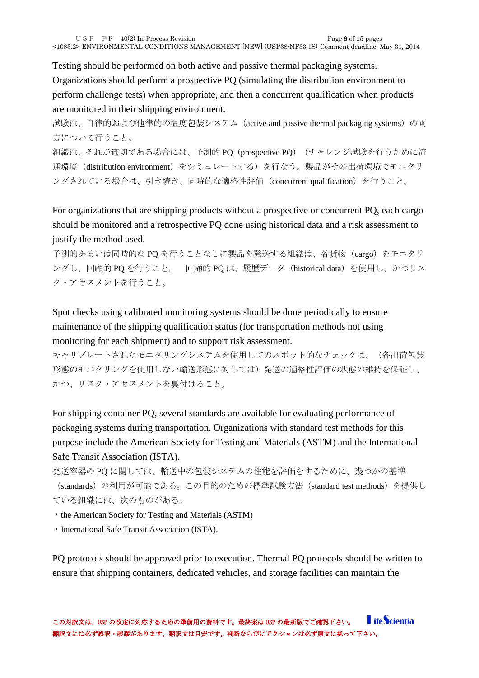Testing should be performed on both active and passive thermal packaging systems. Organizations should perform a prospective PQ (simulating the distribution environment to perform challenge tests) when appropriate, and then a concurrent qualification when products are monitored in their shipping environment.

試験は、自律的および他律的の温度包装システム (active and passive thermal packaging systems)の両 方について行うこと。

組織は、それが適切である場合には、予測的 PQ (prospective PQ) (チャレンジ試験を行うために流 通環境(distribution environment)をシミュレートする)を行なう。製品がその出荷環境でモニタリ ングされている場合は、引き続き、同時的な適格性評価(concurrent qualification)を行うこと。

For organizations that are shipping products without a prospective or concurrent PQ, each cargo should be monitored and a retrospective PQ done using historical data and a risk assessment to justify the method used.

予測的あるいは同時的な PQ を行うことなしに製品を発送する組織は、各貨物 (cargo) をモニタリ ングし、回顧的 PQ を行うこと。 回顧的 PQ は、履歴データ(historical data)を使用し、かつリス ク・アセスメントを行うこと。

Spot checks using calibrated monitoring systems should be done periodically to ensure maintenance of the shipping qualification status (for transportation methods not using monitoring for each shipment) and to support risk assessment.

キャリブレートされたモニタリングシステムを使用してのスポット的なチェックは、(各出荷包装 形態のモニタリングを使用しない輸送形態に対しては)発送の適格性評価の状態の維持を保証し、 かつ、リスク・アセスメントを裏付けること。

For shipping container PQ, several standards are available for evaluating performance of packaging systems during transportation. Organizations with standard test methods for this purpose include the American Society for Testing and Materials (ASTM) and the International Safe Transit Association (ISTA).

発送容器の PQ に関しては、輸送中の包装システムの性能を評価をするために、幾つかの基準

(standards)の利用が可能である。この目的のための標準試験方法(standard test methods)を提供し ている組織には、次のものがある。

・the American Society for Testing and Materials (ASTM)

・International Safe Transit Association (ISTA).

PQ protocols should be approved prior to execution. Thermal PQ protocols should be written to ensure that shipping containers, dedicated vehicles, and storage facilities can maintain the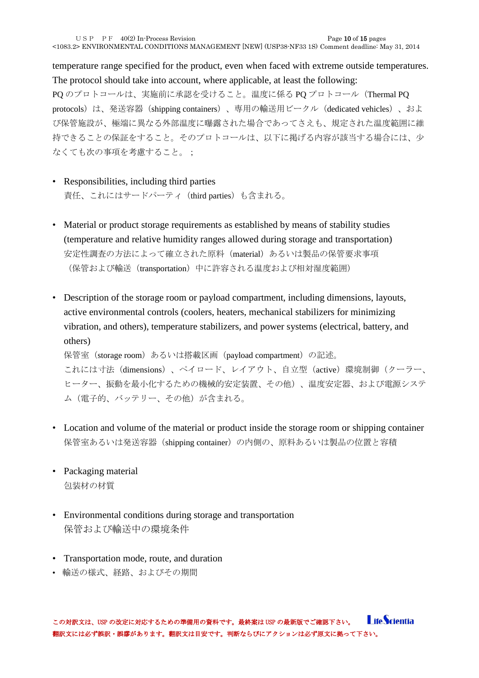temperature range specified for the product, even when faced with extreme outside temperatures. The protocol should take into account, where applicable, at least the following:

PQ のプロトコールは、実施前に承認を受けること。温度に係る PQ プロトコール(Thermal PQ protocols) は、発送容器 (shipping containers)、専用の輸送用ビークル (dedicated vehicles)、およ び保管施設が、極端に異なる外部温度に曝露された場合であってさえも、規定された温度範囲に維 持できることの保証をすること。そのプロトコールは、以下に掲げる内容が該当する場合には、少 なくても次の事項を考慮すること。;

- Responsibilities, including third parties 責任、これにはサードパーティ(third parties)も含まれる。
- Material or product storage requirements as established by means of stability studies (temperature and relative humidity ranges allowed during storage and transportation) 安定性調査の方法によって確立された原料(material)あるいは製品の保管要求事項 (保管および輸送 (transportation) 中に許容される温度および相対湿度範囲)
- Description of the storage room or payload compartment, including dimensions, layouts, active environmental controls (coolers, heaters, mechanical stabilizers for minimizing vibration, and others), temperature stabilizers, and power systems (electrical, battery, and others)

保管室(storage room)あるいは搭載区画(payload compartment)の記述。

これには寸法(dimensions)、ペイロード、レイアウト、自立型(active)環境制御(クーラー、 ヒーター、振動を最小化するための機械的安定装置、その他)、温度安定器、および電源システ ム(電子的、バッテリー、その他)が含まれる。

- Location and volume of the material or product inside the storage room or shipping container 保管室あるいは発送容器 (shipping container)の内側の、原料あるいは製品の位置と容積
- Packaging material 包装材の材質
- Environmental conditions during storage and transportation 保管および輸送中の環境条件
- Transportation mode, route, and duration
- 輸送の様式、経路、およびその期間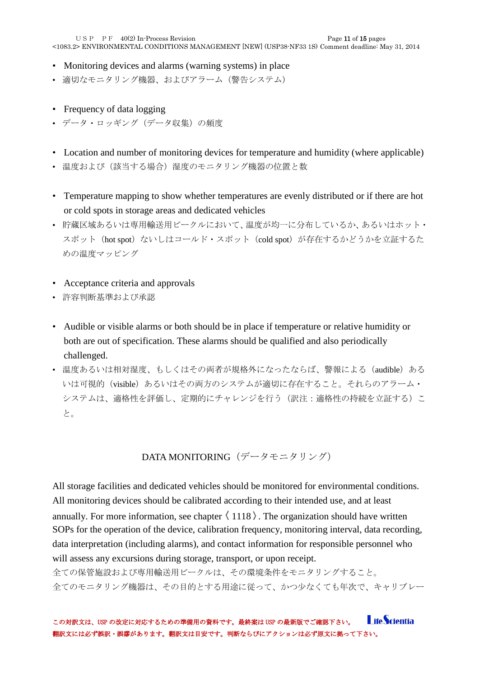USP PF  $40(2)$  In-Process Revision Page 11 of 15 pages

<1083.2> ENVIRONMENTAL CONDITIONS MANAGEMENT [NEW] (USP38-NF33 1S) Comment deadline: May 31, 2014

- Monitoring devices and alarms (warning systems) in place
- 適切なモニタリング機器、およびアラーム(警告システム)
- Frequency of data logging
- データ・ロッギング (データ収集)の頻度
- Location and number of monitoring devices for temperature and humidity (where applicable)
- 温度および(該当する場合)湿度のモニタリング機器の位置と数
- Temperature mapping to show whether temperatures are evenly distributed or if there are hot or cold spots in storage areas and dedicated vehicles
- 貯蔵区域あるいは専用輸送用ビークルにおいて、温度が均一に分布しているか、あるいはホット・ スポット (hot spot) ないしはコールド・スポット (cold spot) が存在するかどうかを立証するた めの温度マッピング
- Acceptance criteria and approvals
- 許容判断基準および承認
- Audible or visible alarms or both should be in place if temperature or relative humidity or both are out of specification. These alarms should be qualified and also periodically challenged.
- 温度あるいは相対湿度、もしくはその両者が規格外になったならば、警報による (audible) ある いは可視的 (visible) あるいはその両方のシステムが適切に存在すること。それらのアラーム· システムは、適格性を評価し、定期的にチャレンジを行う(訳注:適格性の持続を立証する)こ と。

DATA MONITORING(データモニタリング)

<span id="page-10-0"></span>All storage facilities and dedicated vehicles should be monitored for environmental conditions. All monitoring devices should be calibrated according to their intended use, and at least annually. For more information, see chapter  $\langle 1118 \rangle$ . The organization should have written SOPs for the operation of the device, calibration frequency, monitoring interval, data recording, data interpretation (including alarms), and contact information for responsible personnel who will assess any excursions during storage, transport, or upon receipt. 全ての保管施設および専用輸送用ビークルは、その環境条件をモニタリングすること。

全てのモニタリング機器は、その目的とする用途に従って、かつ少なくても年次で、キャリブレー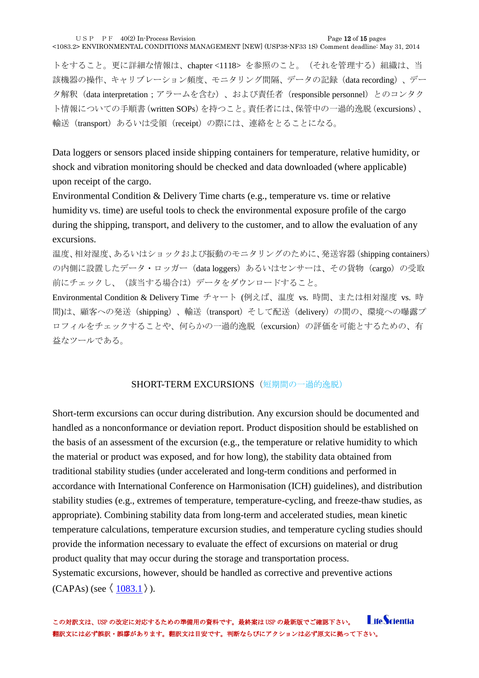トをすること。更に詳細な情報は、chapter <1118> を参照のこと。(それを管理する)組織は、当 該機器の操作、キャリブレーション頻度、モニタリング間隔、データの記録(data recording)、デー タ解釈(data interpretation;アラームを含む)、および責任者(responsible personnel)とのコンタク ト情報についての手順書(written SOPs)を持つこと。責任者には、保管中の一過的逸脱(excursions)、 輸送(transport)あるいは受領(receipt)の際には、連絡をとることになる。

Data loggers or sensors placed inside shipping containers for temperature, relative humidity, or shock and vibration monitoring should be checked and data downloaded (where applicable) upon receipt of the cargo.

Environmental Condition & Delivery Time charts (e.g., temperature vs. time or relative humidity vs. time) are useful tools to check the environmental exposure profile of the cargo during the shipping, transport, and delivery to the customer, and to allow the evaluation of any excursions.

温度、相対湿度、あるいはショックおよび振動のモニタリングのために、発送容器(shipping containers) の内側に設置したデータ・ロッガー (data loggers) あるいはセンサーは、その貨物 (cargo) の受取 前にチェックし、(該当する場合は)データをダウンロードすること。

Environmental Condition & Delivery Time チャート (例えば、温度 vs. 時間、または相対湿度 vs. 時 間)は、顧客への発送(shipping)、輸送(transport)そして配送(delivery)の間の、環境への曝露プ ロフィルをチェックすることや、何らかの一過的逸脱(excursion)の評価を可能とするための、有 益なツールである。

#### SHORT-TERM EXCURSIONS (短期間の一過的逸脱)

<span id="page-11-0"></span>Short-term excursions can occur during distribution. Any excursion should be documented and handled as a nonconformance or deviation report. Product disposition should be established on the basis of an assessment of the excursion (e.g., the temperature or relative humidity to which the material or product was exposed, and for how long), the stability data obtained from traditional stability studies (under accelerated and long-term conditions and performed in accordance with International Conference on Harmonisation (ICH) guidelines), and distribution stability studies (e.g., extremes of temperature, temperature-cycling, and freeze-thaw studies, as appropriate). Combining stability data from long-term and accelerated studies, mean kinetic temperature calculations, temperature excursion studies, and temperature cycling studies should provide the information necessary to evaluate the effect of excursions on material or drug product quality that may occur during the storage and transportation process. Systematic excursions, however, should be handled as corrective and preventive actions  $(CAPAs)$  (see  $\langle 1083.1 \rangle$  $\langle 1083.1 \rangle$  $\langle 1083.1 \rangle$ ).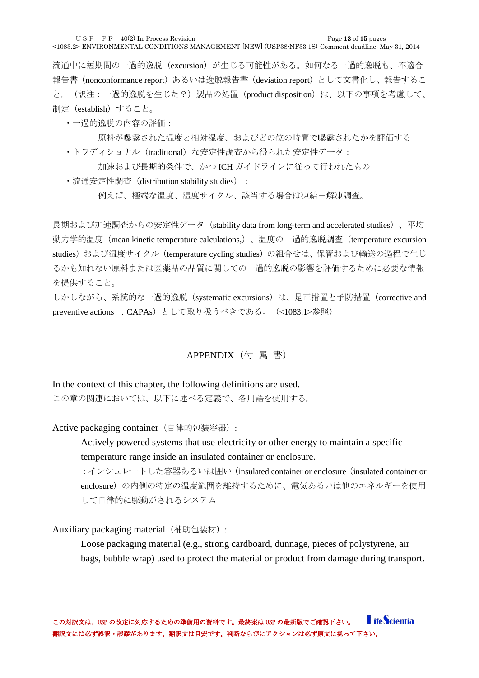USP PF  $40(2)$  In-Process Revision Page 13 of 15 pages

<1083.2> ENVIRONMENTAL CONDITIONS MANAGEMENT [NEW] (USP38-NF33 1S) Comment deadline: May 31, 2014

流通中に短期間の一過的逸脱(excursion)が生じる可能性がある。如何なる一過的逸脱も、不適合 報告書 (nonconformance report) あるいは逸脱報告書 (deviation report) として文書化し、報告するこ と。(訳注:一過的逸脱を生じた?)製品の処置(product disposition)は、以下の事項を考慮して、 制定(establish)すること。

・一過的逸脱の内容の評価:

原料が曝露された温度と相対湿度、およびどの位の時間で曝露されたかを評価する ・トラディショナル(traditional)な安定性調査から得られた安定性データ:

加速および長期的条件で、かつ ICH ガイドラインに従って行われたもの

· 流通安定性調査 (distribution stability studies) :

例えば、極端な温度、温度サイクル、該当する場合は凍結ー解凍調査。

長期および加速調査からの安定性データ(stability data from long-term and accelerated studies)、平均 動力学的温度(mean kinetic temperature calculations,)、温度の一過的逸脱調査(temperature excursion studies) および温度サイクル (temperature cycling studies) の組合せは、保管および輸送の過程で生じ るかも知れない原料または医薬品の品質に関しての一過的逸脱の影響を評価するために必要な情報 を提供すること。

しかしながら、系統的な一過的逸脱 (systematic excursions) は、是正措置と予防措置 (corrective and preventive actions ; CAPAs) として取り扱うべきである。 (<1083.1>参照)

#### APPENDIX(付 属 書)

<span id="page-12-0"></span>In the context of this chapter, the following definitions are used. この章の関連においては、以下に述べる定義で、各用語を使用する。

<span id="page-12-1"></span>Active packaging container (自律的包装容器):

Actively powered systems that use electricity or other energy to maintain a specific temperature range inside an insulated container or enclosure.

: インシュレートした容器あるいは囲い (insulated container or enclosure (insulated container or enclosure)の内側の特定の温度範囲を維持するために、電気あるいは他のエネルギーを使用 して自律的に駆動がされるシステム

<span id="page-12-2"></span>Auxiliary packaging material (補助包装材):

Loose packaging material (e.g., strong cardboard, dunnage, pieces of polystyrene, air bags, bubble wrap) used to protect the material or product from damage during transport.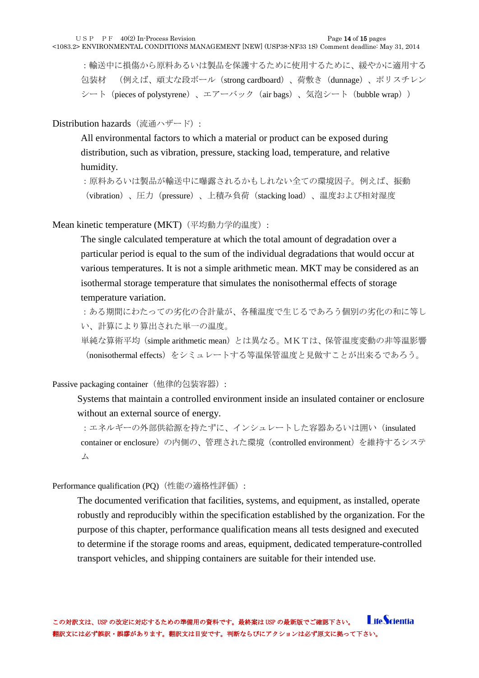:輸送中に損傷から原料あるいは製品を保護するために使用するために、緩やかに適用する 包装材 (例えば、頑丈な段ボール(strong cardboard)、荷敷き(dunnage)、ポリスチレン シート (pieces of polystyrene)、エアーバック (air bags)、気泡シート (bubble wrap))

## <span id="page-13-0"></span>Distribution hazards (流通ハザード):

All environmental factors to which a material or product can be exposed during distribution, such as vibration, pressure, stacking load, temperature, and relative humidity.

:原料あるいは製品が輸送中に曝露されるかもしれない全ての環境因子。例えば、振動 (vibration)、圧力(pressure)、上積み負荷(stacking load)、温度および相対湿度

<span id="page-13-1"></span>Mean kinetic temperature (MKT) (平均動力学的温度):

The single calculated temperature at which the total amount of degradation over a particular period is equal to the sum of the individual degradations that would occur at various temperatures. It is not a simple arithmetic mean. MKT may be considered as an isothermal storage temperature that simulates the nonisothermal effects of storage temperature variation.

:ある期間にわたっての劣化の合計量が、各種温度で生じるであろう個別の劣化の和に等し い、計算により算出された単一の温度。

単純な算術平均(simple arithmetic mean)とは異なる。MKTは、保管温度変動の非等温影響 (nonisothermal effects)をシミュレートする等温保管温度と見做すことが出来るであろう。

<span id="page-13-2"></span>Passive packaging container (他律的包装容器):

Systems that maintain a controlled environment inside an insulated container or enclosure without an external source of energy.

:エネルギーの外部供給源を持たずに、インシュレートした容器あるいは囲い(insulated container or enclosure)の内側の、管理された環境 (controlled environment) を維持するシステ ム

<span id="page-13-3"></span>Performance qualification (PQ) (性能の適格性評価):

The documented verification that facilities, systems, and equipment, as installed, operate robustly and reproducibly within the specification established by the organization. For the purpose of this chapter, performance qualification means all tests designed and executed to determine if the storage rooms and areas, equipment, dedicated temperature-controlled transport vehicles, and shipping containers are suitable for their intended use.